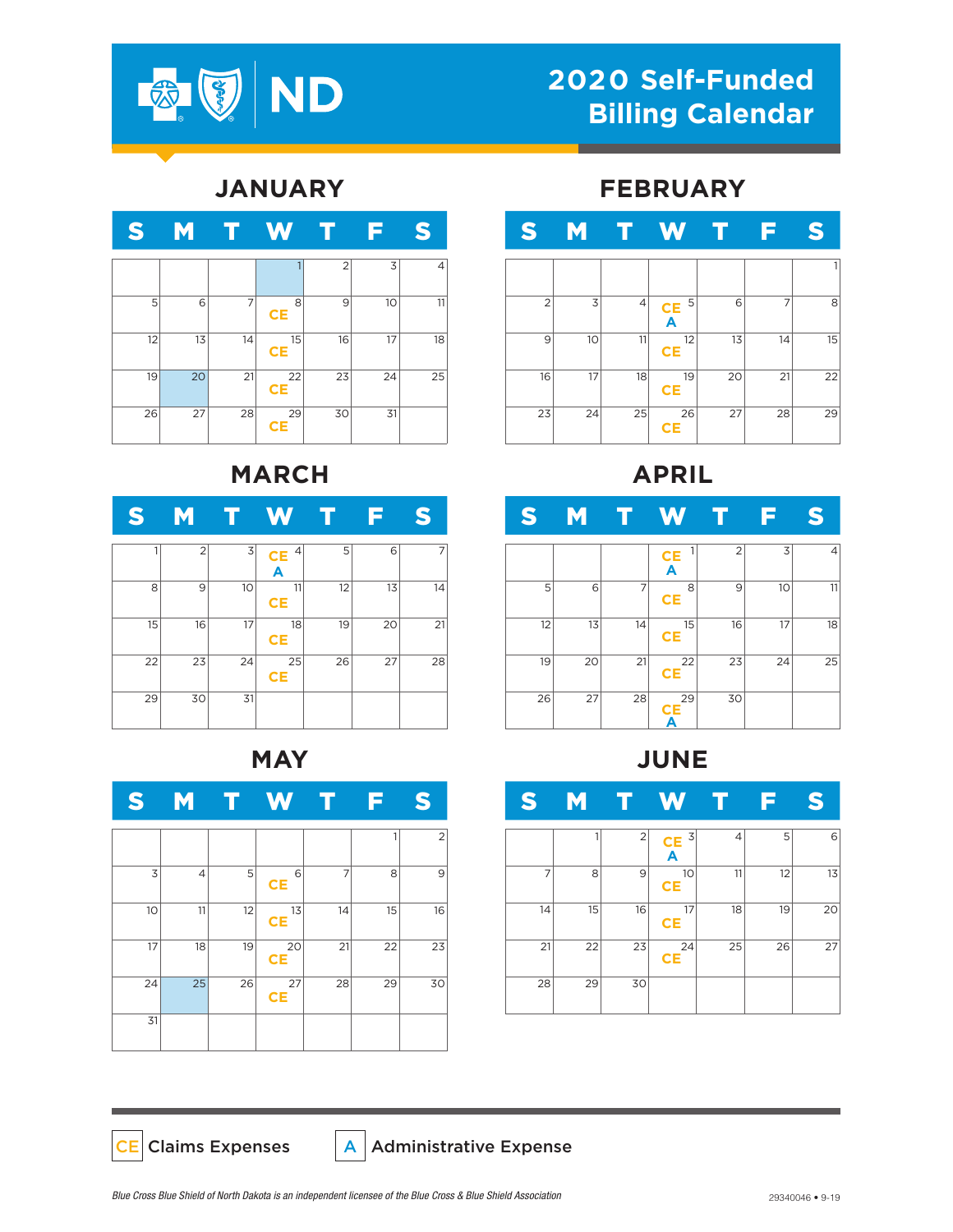

# **2020 Self-Funded Billing Calendar**

### **JANUARY**

| S  | M  |    | W               |                |    | S  |
|----|----|----|-----------------|----------------|----|----|
|    |    |    |                 | $\overline{2}$ | 3  | 4  |
| 5  | 6  | 7  | 8<br><b>CE</b>  | 9              | 10 | 11 |
| 12 | 13 | 14 | 15<br><b>CE</b> | 16             | 17 | 18 |
| 19 | 20 | 21 | 22<br><b>CE</b> | 23             | 24 | 25 |
| 26 | 27 | 28 | 29<br><b>CE</b> | 30             | 31 |    |

## **MARCH**

| ت  | M              |    | $\mathbf{N}/$       |    |    | S  |
|----|----------------|----|---------------------|----|----|----|
|    | $\overline{2}$ | 3  | 4<br><b>CE</b><br>A | 5  | 6  |    |
| 8  | 9              | 10 | 11<br><b>CE</b>     | 12 | 13 | 14 |
| 15 | 16             | 17 | 18<br><b>CE</b>     | 19 | 20 | 21 |
| 22 | 23             | 24 | 25<br><b>CE</b>     | 26 | 27 | 28 |
| 29 | 30             | 31 |                     |    |    |    |

#### **MAY**



#### **FEBRUARY**



### **APRIL**

| S  | M  |    | W                                   |                |    | S  |
|----|----|----|-------------------------------------|----------------|----|----|
|    |    |    | 1<br>$rac{\mathsf{CE}}{\mathsf{A}}$ | $\overline{2}$ | 3  | 4  |
| 5  | 6  | 7  | 8<br><b>CE</b>                      | 9              | 10 | 11 |
| 12 | 13 | 14 | 15<br><b>CE</b>                     | 16             | 17 | 18 |
| 19 | 20 | 21 | 22<br><b>CE</b>                     | 23             | 24 | 25 |
| 26 | 27 | 28 | 29<br>CE<br>А                       | 30             |    |    |

**JUNE**

| S  | <u>M</u> | г              | W                                                |    |    | B  |
|----|----------|----------------|--------------------------------------------------|----|----|----|
|    | 1        | $\overline{2}$ | $\overline{3}$<br>$rac{\mathsf{CE}}{\mathsf{A}}$ | 4  | 5  | 6  |
| 7  | 8        | 9              | 10<br><b>CE</b>                                  | 11 | 12 | 13 |
| 14 | 15       | 16             | 17<br><b>CE</b>                                  | 18 | 19 | 20 |
| 21 | 22       | 23             | 24<br><b>CE</b>                                  | 25 | 26 | 27 |
| 28 | 29       | 30             |                                                  |    |    |    |

CE Claims Expenses  $|A|$  Administrative Expense